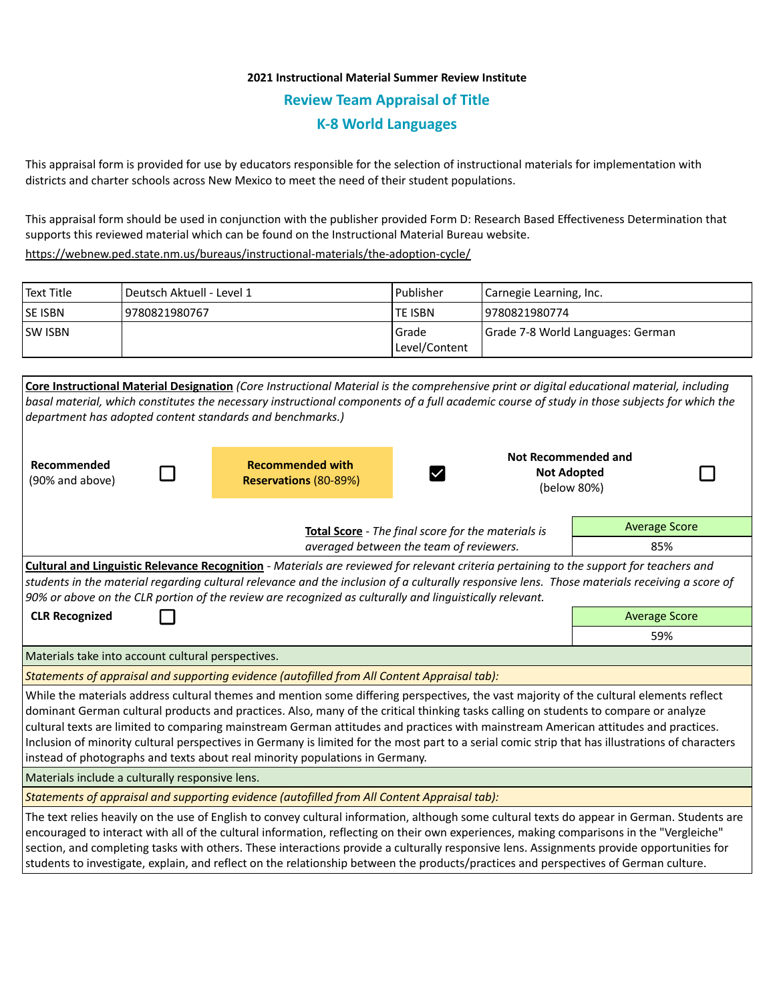## **2021 Instructional Material Summer Review Institute Review Team Appraisal of Title K-8 World Languages**

This appraisal form is provided for use by educators responsible for the selection of instructional materials for implementation with districts and charter schools across New Mexico to meet the need of their student populations.

This appraisal form should be used in conjunction with the publisher provided Form D: Research Based Effectiveness Determination that supports this reviewed material which can be found on the Instructional Material Bureau website.

<https://webnew.ped.state.nm.us/bureaus/instructional-materials/the-adoption-cycle/>

| Text Title     | Deutsch Aktuell - Level 1 | <b>IPublisher</b>         | Carnegie Learning, Inc.           |
|----------------|---------------------------|---------------------------|-----------------------------------|
| <b>SE ISBN</b> | 9780821980767             | lte ISBN                  | 19780821980774                    |
| <b>SW ISBN</b> |                           | l Grade<br> Level/Content | Grade 7-8 World Languages: German |

| Core Instructional Material Designation (Core Instructional Material is the comprehensive print or digital educational material, including                                                                                       |                                                    |                     |                      |  |  |  |  |
|----------------------------------------------------------------------------------------------------------------------------------------------------------------------------------------------------------------------------------|----------------------------------------------------|---------------------|----------------------|--|--|--|--|
| basal material, which constitutes the necessary instructional components of a full academic course of study in those subjects for which the                                                                                      |                                                    |                     |                      |  |  |  |  |
| department has adopted content standards and benchmarks.)                                                                                                                                                                        |                                                    |                     |                      |  |  |  |  |
| Recommended                                                                                                                                                                                                                      | <b>Recommended with</b>                            | Not Recommended and |                      |  |  |  |  |
| (90% and above)                                                                                                                                                                                                                  | Reservations (80-89%)                              | <b>Not Adopted</b>  |                      |  |  |  |  |
|                                                                                                                                                                                                                                  |                                                    | (below 80%)         |                      |  |  |  |  |
|                                                                                                                                                                                                                                  |                                                    |                     |                      |  |  |  |  |
|                                                                                                                                                                                                                                  | Total Score - The final score for the materials is |                     | <b>Average Score</b> |  |  |  |  |
| averaged between the team of reviewers.                                                                                                                                                                                          |                                                    |                     | 85%                  |  |  |  |  |
| Cultural and Linguistic Relevance Recognition - Materials are reviewed for relevant criteria pertaining to the support for teachers and                                                                                          |                                                    |                     |                      |  |  |  |  |
| students in the material regarding cultural relevance and the inclusion of a culturally responsive lens. Those materials receiving a score of                                                                                    |                                                    |                     |                      |  |  |  |  |
| 90% or above on the CLR portion of the review are recognized as culturally and linguistically relevant.                                                                                                                          |                                                    |                     |                      |  |  |  |  |
| <b>CLR Recognized</b>                                                                                                                                                                                                            |                                                    |                     | <b>Average Score</b> |  |  |  |  |
|                                                                                                                                                                                                                                  | 59%                                                |                     |                      |  |  |  |  |
| Materials take into account cultural perspectives.                                                                                                                                                                               |                                                    |                     |                      |  |  |  |  |
| Statements of appraisal and supporting evidence (autofilled from All Content Appraisal tab):                                                                                                                                     |                                                    |                     |                      |  |  |  |  |
| While the materials address cultural themes and mention some differing perspectives, the vast majority of the cultural elements reflect                                                                                          |                                                    |                     |                      |  |  |  |  |
| dominant German cultural products and practices. Also, many of the critical thinking tasks calling on students to compare or analyze                                                                                             |                                                    |                     |                      |  |  |  |  |
| cultural texts are limited to comparing mainstream German attitudes and practices with mainstream American attitudes and practices.                                                                                              |                                                    |                     |                      |  |  |  |  |
| Inclusion of minority cultural perspectives in Germany is limited for the most part to a serial comic strip that has illustrations of characters<br>instead of photographs and texts about real minority populations in Germany. |                                                    |                     |                      |  |  |  |  |
| Materials include a culturally responsive lens.                                                                                                                                                                                  |                                                    |                     |                      |  |  |  |  |
| Statements of appraisal and supporting evidence (autofilled from All Content Appraisal tab):                                                                                                                                     |                                                    |                     |                      |  |  |  |  |
| The text relies heavily on the use of English to convey cultural information, although some cultural texts do appear in German. Students are                                                                                     |                                                    |                     |                      |  |  |  |  |
| encouraged to interact with all of the cultural information, reflecting on their own experiences, making comparisons in the "Vergleiche"                                                                                         |                                                    |                     |                      |  |  |  |  |
| section, and completing tasks with others. These interactions provide a culturally responsive lens. Assignments provide opportunities for                                                                                        |                                                    |                     |                      |  |  |  |  |
| students to investigate, explain, and reflect on the relationship between the products/practices and perspectives of German culture.                                                                                             |                                                    |                     |                      |  |  |  |  |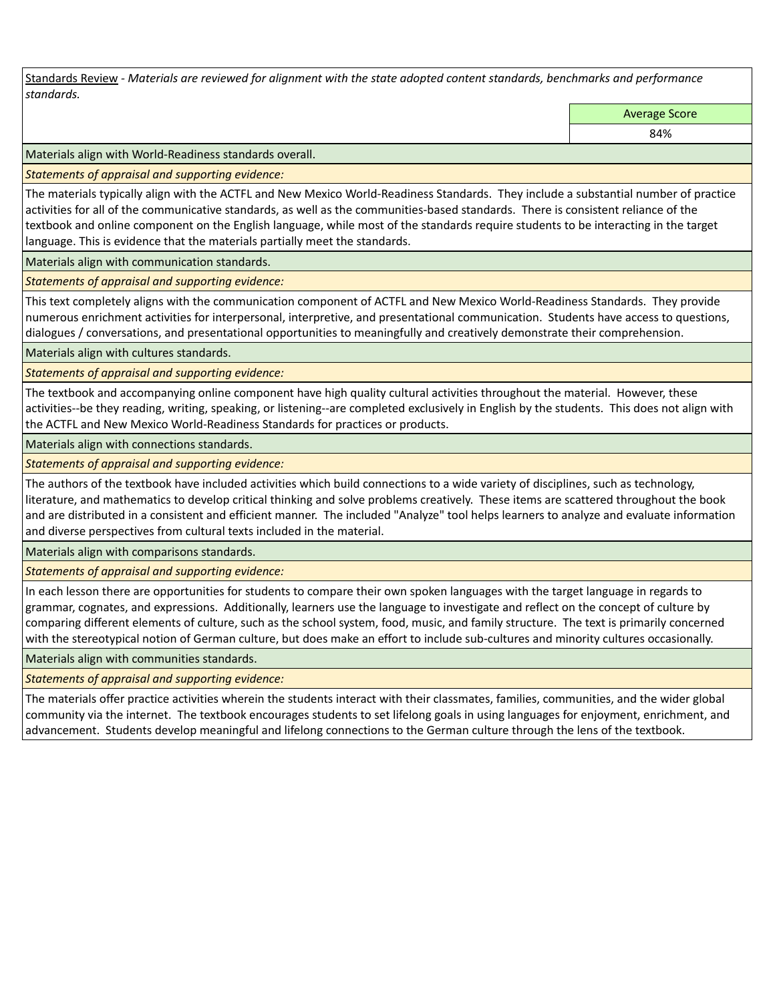Standards Review *- Materials are reviewed for alignment with the state adopted content standards, benchmarks and performance standards.*

Average Score

84%

Materials align with World-Readiness standards overall.

*Statements of appraisal and supporting evidence:* 

The materials typically align with the ACTFL and New Mexico World-Readiness Standards. They include a substantial number of practice activities for all of the communicative standards, as well as the communities-based standards. There is consistent reliance of the textbook and online component on the English language, while most of the standards require students to be interacting in the target language. This is evidence that the materials partially meet the standards.

Materials align with communication standards.

*Statements of appraisal and supporting evidence:* 

This text completely aligns with the communication component of ACTFL and New Mexico World-Readiness Standards. They provide numerous enrichment activities for interpersonal, interpretive, and presentational communication. Students have access to questions, dialogues / conversations, and presentational opportunities to meaningfully and creatively demonstrate their comprehension.

Materials align with cultures standards.

*Statements of appraisal and supporting evidence:* 

The textbook and accompanying online component have high quality cultural activities throughout the material. However, these activities--be they reading, writing, speaking, or listening--are completed exclusively in English by the students. This does not align with the ACTFL and New Mexico World-Readiness Standards for practices or products.

Materials align with connections standards.

*Statements of appraisal and supporting evidence:* 

The authors of the textbook have included activities which build connections to a wide variety of disciplines, such as technology, literature, and mathematics to develop critical thinking and solve problems creatively. These items are scattered throughout the book and are distributed in a consistent and efficient manner. The included "Analyze" tool helps learners to analyze and evaluate information and diverse perspectives from cultural texts included in the material.

Materials align with comparisons standards.

*Statements of appraisal and supporting evidence:* 

In each lesson there are opportunities for students to compare their own spoken languages with the target language in regards to grammar, cognates, and expressions. Additionally, learners use the language to investigate and reflect on the concept of culture by comparing different elements of culture, such as the school system, food, music, and family structure. The text is primarily concerned with the stereotypical notion of German culture, but does make an effort to include sub-cultures and minority cultures occasionally.

Materials align with communities standards.

*Statements of appraisal and supporting evidence:* 

The materials offer practice activities wherein the students interact with their classmates, families, communities, and the wider global community via the internet. The textbook encourages students to set lifelong goals in using languages for enjoyment, enrichment, and advancement. Students develop meaningful and lifelong connections to the German culture through the lens of the textbook.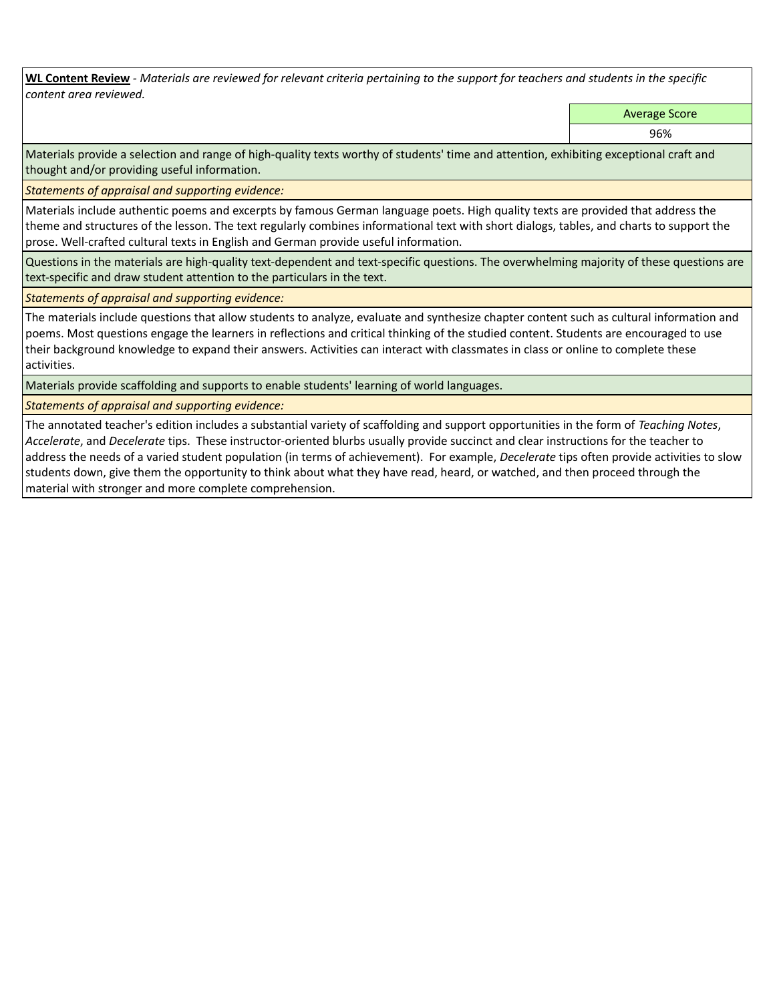**WL Content Review** *- Materials are reviewed for relevant criteria pertaining to the support for teachers and students in the specific content area reviewed.*

Average Score

96%

Materials provide a selection and range of high-quality texts worthy of students' time and attention, exhibiting exceptional craft and thought and/or providing useful information.

*Statements of appraisal and supporting evidence:* 

Materials include authentic poems and excerpts by famous German language poets. High quality texts are provided that address the theme and structures of the lesson. The text regularly combines informational text with short dialogs, tables, and charts to support the prose. Well-crafted cultural texts in English and German provide useful information.

Questions in the materials are high-quality text-dependent and text-specific questions. The overwhelming majority of these questions are text-specific and draw student attention to the particulars in the text.

*Statements of appraisal and supporting evidence:* 

The materials include questions that allow students to analyze, evaluate and synthesize chapter content such as cultural information and poems. Most questions engage the learners in reflections and critical thinking of the studied content. Students are encouraged to use their background knowledge to expand their answers. Activities can interact with classmates in class or online to complete these activities.

Materials provide scaffolding and supports to enable students' learning of world languages.

*Statements of appraisal and supporting evidence:* 

The annotated teacher's edition includes a substantial variety of scaffolding and support opportunities in the form of *Teaching Notes*, *Accelerate*, and *Decelerate* tips. These instructor-oriented blurbs usually provide succinct and clear instructions for the teacher to address the needs of a varied student population (in terms of achievement). For example, *Decelerate* tips often provide activities to slow students down, give them the opportunity to think about what they have read, heard, or watched, and then proceed through the material with stronger and more complete comprehension.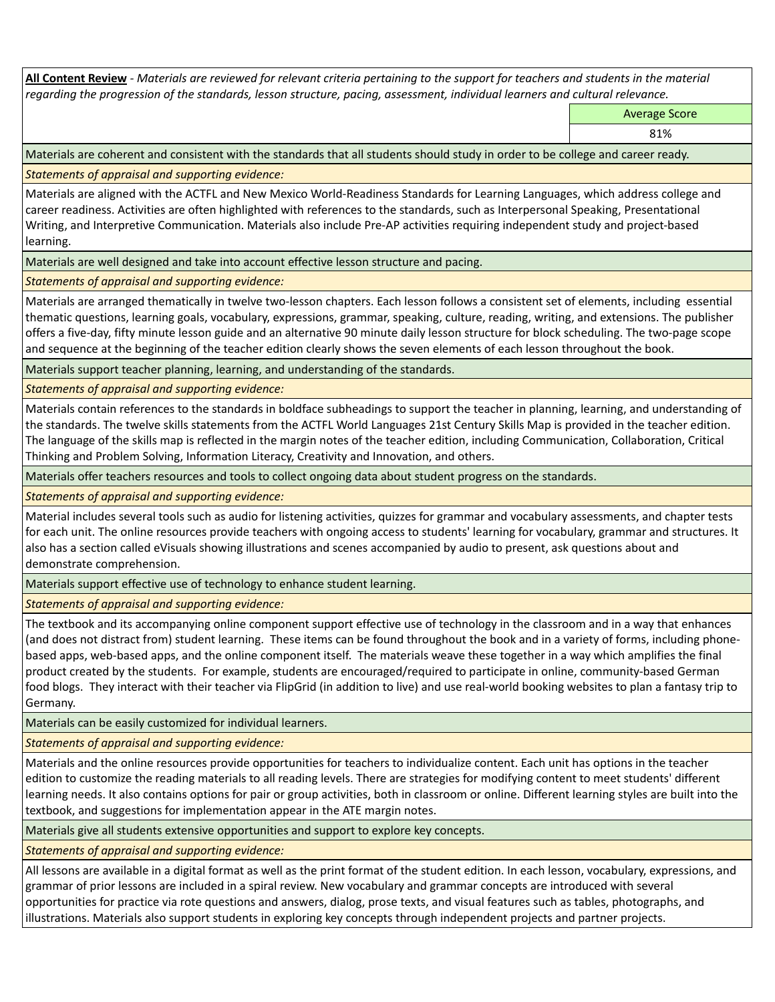**All Content Review** *- Materials are reviewed for relevant criteria pertaining to the support for teachers and students in the material regarding the progression of the standards, lesson structure, pacing, assessment, individual learners and cultural relevance.*

Average Score

81%

Materials are coherent and consistent with the standards that all students should study in order to be college and career ready.

*Statements of appraisal and supporting evidence:*

Materials are aligned with the ACTFL and New Mexico World-Readiness Standards for Learning Languages, which address college and career readiness. Activities are often highlighted with references to the standards, such as Interpersonal Speaking, Presentational Writing, and Interpretive Communication. Materials also include Pre-AP activities requiring independent study and project-based learning.

Materials are well designed and take into account effective lesson structure and pacing.

*Statements of appraisal and supporting evidence:*

Materials are arranged thematically in twelve two-lesson chapters. Each lesson follows a consistent set of elements, including essential thematic questions, learning goals, vocabulary, expressions, grammar, speaking, culture, reading, writing, and extensions. The publisher offers a five-day, fifty minute lesson guide and an alternative 90 minute daily lesson structure for block scheduling. The two-page scope and sequence at the beginning of the teacher edition clearly shows the seven elements of each lesson throughout the book.

Materials support teacher planning, learning, and understanding of the standards.

*Statements of appraisal and supporting evidence:*

Materials contain references to the standards in boldface subheadings to support the teacher in planning, learning, and understanding of the standards. The twelve skills statements from the ACTFL World Languages 21st Century Skills Map is provided in the teacher edition. The language of the skills map is reflected in the margin notes of the teacher edition, including Communication, Collaboration, Critical Thinking and Problem Solving, Information Literacy, Creativity and Innovation, and others.

Materials offer teachers resources and tools to collect ongoing data about student progress on the standards.

*Statements of appraisal and supporting evidence:*

Material includes several tools such as audio for listening activities, quizzes for grammar and vocabulary assessments, and chapter tests for each unit. The online resources provide teachers with ongoing access to students' learning for vocabulary, grammar and structures. It also has a section called eVisuals showing illustrations and scenes accompanied by audio to present, ask questions about and demonstrate comprehension.

Materials support effective use of technology to enhance student learning.

*Statements of appraisal and supporting evidence:*

The textbook and its accompanying online component support effective use of technology in the classroom and in a way that enhances (and does not distract from) student learning. These items can be found throughout the book and in a variety of forms, including phonebased apps, web-based apps, and the online component itself. The materials weave these together in a way which amplifies the final product created by the students. For example, students are encouraged/required to participate in online, community-based German food blogs. They interact with their teacher via FlipGrid (in addition to live) and use real-world booking websites to plan a fantasy trip to Germany.

Materials can be easily customized for individual learners.

*Statements of appraisal and supporting evidence:* 

Materials and the online resources provide opportunities for teachers to individualize content. Each unit has options in the teacher edition to customize the reading materials to all reading levels. There are strategies for modifying content to meet students' different learning needs. It also contains options for pair or group activities, both in classroom or online. Different learning styles are built into the textbook, and suggestions for implementation appear in the ATE margin notes.

Materials give all students extensive opportunities and support to explore key concepts.

*Statements of appraisal and supporting evidence:*

All lessons are available in a digital format as well as the print format of the student edition. In each lesson, vocabulary, expressions, and grammar of prior lessons are included in a spiral review. New vocabulary and grammar concepts are introduced with several opportunities for practice via rote questions and answers, dialog, prose texts, and visual features such as tables, photographs, and illustrations. Materials also support students in exploring key concepts through independent projects and partner projects.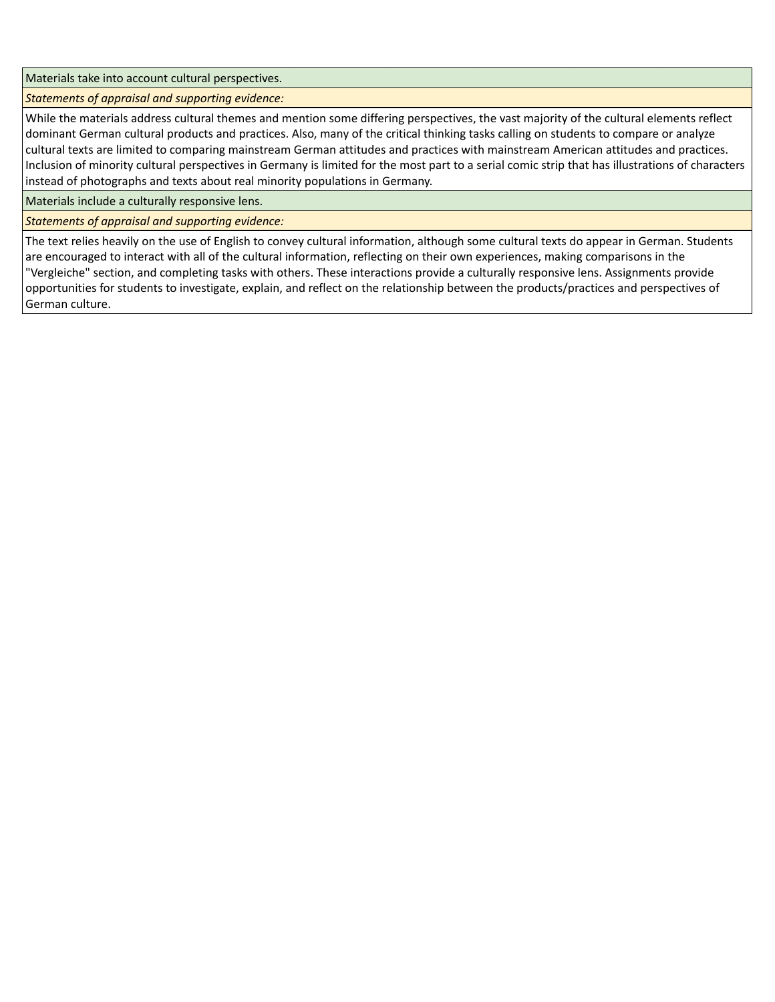Materials take into account cultural perspectives.

*Statements of appraisal and supporting evidence:*

While the materials address cultural themes and mention some differing perspectives, the vast majority of the cultural elements reflect dominant German cultural products and practices. Also, many of the critical thinking tasks calling on students to compare or analyze cultural texts are limited to comparing mainstream German attitudes and practices with mainstream American attitudes and practices. Inclusion of minority cultural perspectives in Germany is limited for the most part to a serial comic strip that has illustrations of characters instead of photographs and texts about real minority populations in Germany.

Materials include a culturally responsive lens.

*Statements of appraisal and supporting evidence:*

The text relies heavily on the use of English to convey cultural information, although some cultural texts do appear in German. Students are encouraged to interact with all of the cultural information, reflecting on their own experiences, making comparisons in the "Vergleiche" section, and completing tasks with others. These interactions provide a culturally responsive lens. Assignments provide opportunities for students to investigate, explain, and reflect on the relationship between the products/practices and perspectives of German culture.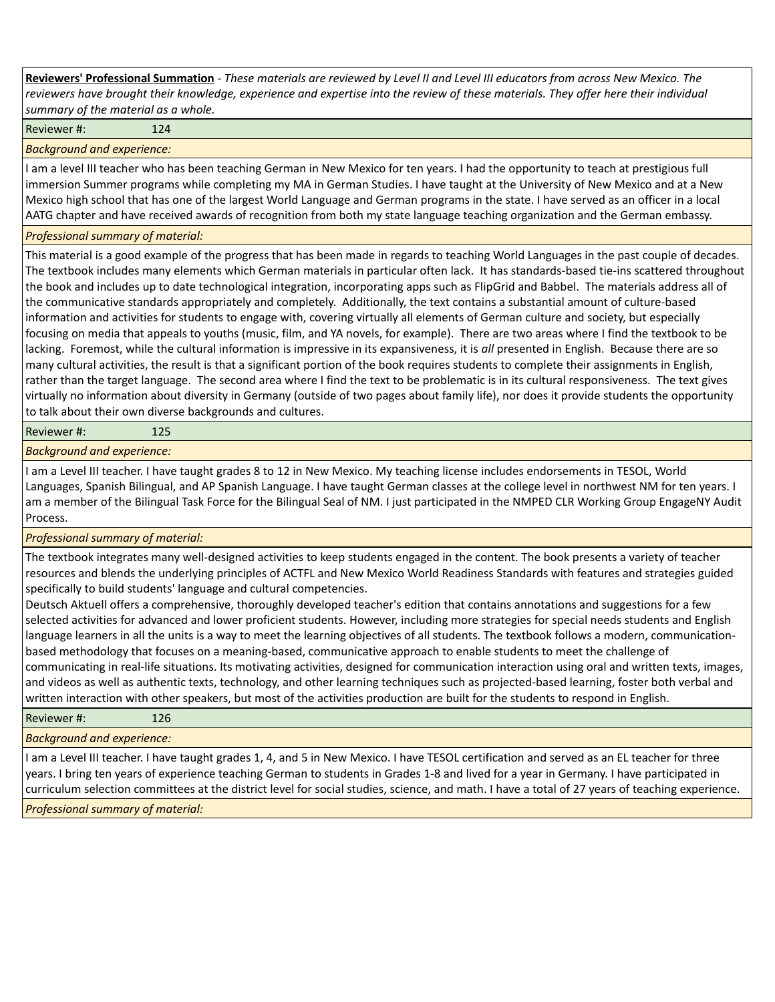**Reviewers' Professional Summation** *- These materials are reviewed by Level II and Level III educators from across New Mexico. The reviewers have brought their knowledge, experience and expertise into the review of these materials. They offer here their individual summary of the material as a whole.*

Reviewer #: 124

*Background and experience:*

I am a level III teacher who has been teaching German in New Mexico for ten years. I had the opportunity to teach at prestigious full immersion Summer programs while completing my MA in German Studies. I have taught at the University of New Mexico and at a New Mexico high school that has one of the largest World Language and German programs in the state. I have served as an officer in a local AATG chapter and have received awards of recognition from both my state language teaching organization and the German embassy.

## *Professional summary of material:*

This material is a good example of the progress that has been made in regards to teaching World Languages in the past couple of decades. The textbook includes many elements which German materials in particular often lack. It has standards-based tie-ins scattered throughout the book and includes up to date technological integration, incorporating apps such as FlipGrid and Babbel. The materials address all of the communicative standards appropriately and completely. Additionally, the text contains a substantial amount of culture-based information and activities for students to engage with, covering virtually all elements of German culture and society, but especially focusing on media that appeals to youths (music, film, and YA novels, for example). There are two areas where I find the textbook to be lacking. Foremost, while the cultural information is impressive in its expansiveness, it is *all* presented in English. Because there are so many cultural activities, the result is that a significant portion of the book requires students to complete their assignments in English, rather than the target language. The second area where I find the text to be problematic is in its cultural responsiveness. The text gives virtually no information about diversity in Germany (outside of two pages about family life), nor does it provide students the opportunity to talk about their own diverse backgrounds and cultures.

Reviewer #: 125

*Background and experience:*

I am a Level III teacher. I have taught grades 8 to 12 in New Mexico. My teaching license includes endorsements in TESOL, World Languages, Spanish Bilingual, and AP Spanish Language. I have taught German classes at the college level in northwest NM for ten years. I am a member of the Bilingual Task Force for the Bilingual Seal of NM. I just participated in the NMPED CLR Working Group EngageNY Audit Process.

*Professional summary of material:*

The textbook integrates many well-designed activities to keep students engaged in the content. The book presents a variety of teacher resources and blends the underlying principles of ACTFL and New Mexico World Readiness Standards with features and strategies guided specifically to build students' language and cultural competencies.

Deutsch Aktuell offers a comprehensive, thoroughly developed teacher's edition that contains annotations and suggestions for a few selected activities for advanced and lower proficient students. However, including more strategies for special needs students and English language learners in all the units is a way to meet the learning objectives of all students. The textbook follows a modern, communicationbased methodology that focuses on a meaning-based, communicative approach to enable students to meet the challenge of communicating in real-life situations. Its motivating activities, designed for communication interaction using oral and written texts, images, and videos as well as authentic texts, technology, and other learning techniques such as projected-based learning, foster both verbal and written interaction with other speakers, but most of the activities production are built for the students to respond in English.

| Reviewer#: | 126 |
|------------|-----|
|------------|-----|

*Background and experience:*

I am a Level III teacher. I have taught grades 1, 4, and 5 in New Mexico. I have TESOL certification and served as an EL teacher for three years. I bring ten years of experience teaching German to students in Grades 1-8 and lived for a year in Germany. I have participated in curriculum selection committees at the district level for social studies, science, and math. I have a total of 27 years of teaching experience.

*Professional summary of material:*